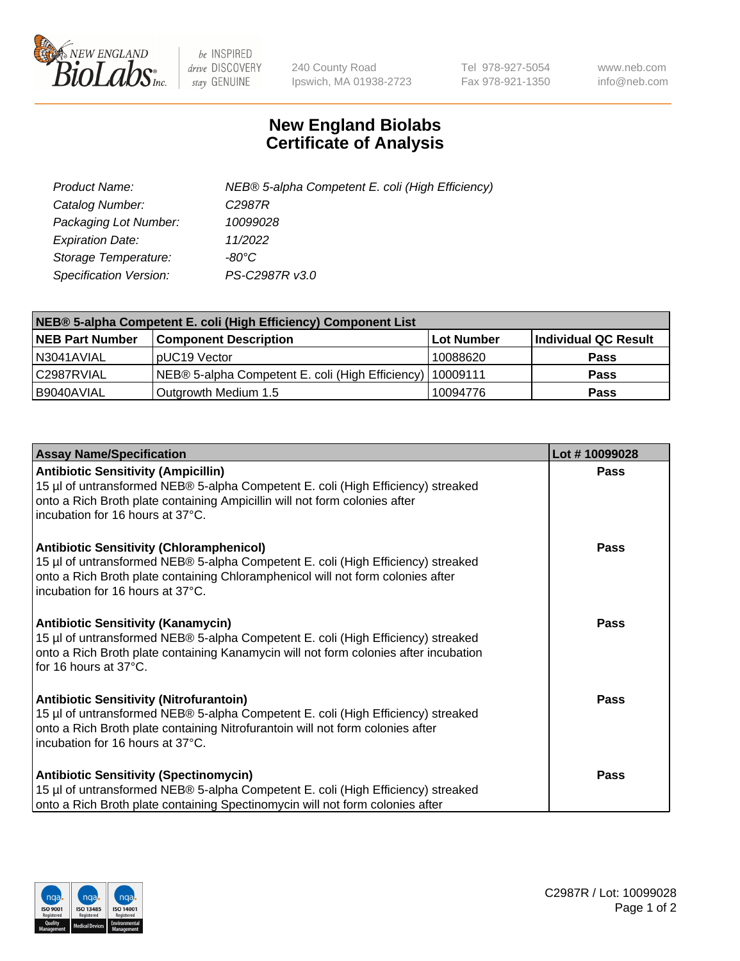

 $be$  INSPIRED drive DISCOVERY stay GENUINE

240 County Road Ipswich, MA 01938-2723 Tel 978-927-5054 Fax 978-921-1350 www.neb.com info@neb.com

## **New England Biolabs Certificate of Analysis**

| Product Name:                 | NEB® 5-alpha Competent E. coli (High Efficiency) |
|-------------------------------|--------------------------------------------------|
| Catalog Number:               | C <sub>2987</sub> R                              |
| Packaging Lot Number:         | 10099028                                         |
| <b>Expiration Date:</b>       | 11/2022                                          |
| Storage Temperature:          | -80°C                                            |
| <b>Specification Version:</b> | PS-C2987R v3.0                                   |

| NEB® 5-alpha Competent E. coli (High Efficiency) Component List |                                                             |            |                      |  |
|-----------------------------------------------------------------|-------------------------------------------------------------|------------|----------------------|--|
| <b>NEB Part Number</b>                                          | <b>Component Description</b>                                | Lot Number | Individual QC Result |  |
| N3041AVIAL                                                      | pUC19 Vector                                                | 10088620   | <b>Pass</b>          |  |
| C2987RVIAL                                                      | NEB® 5-alpha Competent E. coli (High Efficiency)   10009111 |            | <b>Pass</b>          |  |
| B9040AVIAL                                                      | Outgrowth Medium 1.5                                        | 10094776   | <b>Pass</b>          |  |

| <b>Assay Name/Specification</b>                                                                                                                                                                                                                            | Lot #10099028 |
|------------------------------------------------------------------------------------------------------------------------------------------------------------------------------------------------------------------------------------------------------------|---------------|
| <b>Antibiotic Sensitivity (Ampicillin)</b><br>15 µl of untransformed NEB® 5-alpha Competent E. coli (High Efficiency) streaked<br>onto a Rich Broth plate containing Ampicillin will not form colonies after<br>incubation for 16 hours at 37°C.           | Pass          |
| <b>Antibiotic Sensitivity (Chloramphenicol)</b><br>15 µl of untransformed NEB® 5-alpha Competent E. coli (High Efficiency) streaked<br>onto a Rich Broth plate containing Chloramphenicol will not form colonies after<br>incubation for 16 hours at 37°C. | Pass          |
| <b>Antibiotic Sensitivity (Kanamycin)</b><br>15 µl of untransformed NEB® 5-alpha Competent E. coli (High Efficiency) streaked<br>onto a Rich Broth plate containing Kanamycin will not form colonies after incubation<br>for 16 hours at 37°C.             | Pass          |
| <b>Antibiotic Sensitivity (Nitrofurantoin)</b><br>15 µl of untransformed NEB® 5-alpha Competent E. coli (High Efficiency) streaked<br>onto a Rich Broth plate containing Nitrofurantoin will not form colonies after<br>incubation for 16 hours at 37°C.   | <b>Pass</b>   |
| <b>Antibiotic Sensitivity (Spectinomycin)</b><br>15 µl of untransformed NEB® 5-alpha Competent E. coli (High Efficiency) streaked<br>onto a Rich Broth plate containing Spectinomycin will not form colonies after                                         | Pass          |